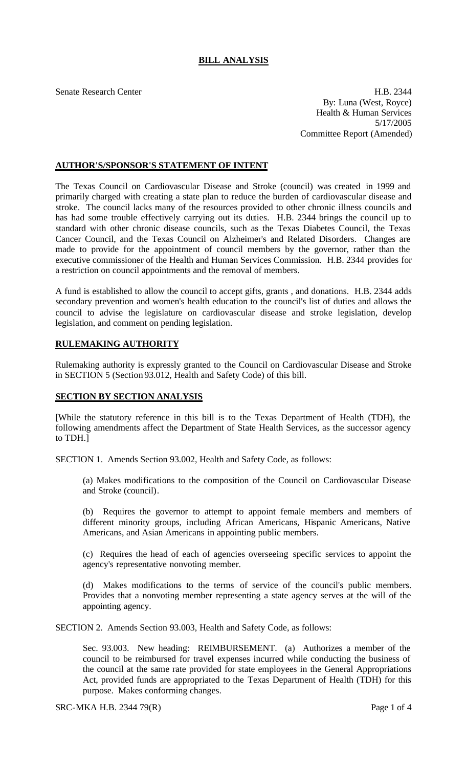## **BILL ANALYSIS**

Senate Research Center **H.B. 2344** By: Luna (West, Royce) Health & Human Services 5/17/2005 Committee Report (Amended)

#### **AUTHOR'S/SPONSOR'S STATEMENT OF INTENT**

The Texas Council on Cardiovascular Disease and Stroke (council) was created in 1999 and primarily charged with creating a state plan to reduce the burden of cardiovascular disease and stroke. The council lacks many of the resources provided to other chronic illness councils and has had some trouble effectively carrying out its duties. H.B. 2344 brings the council up to standard with other chronic disease councils, such as the Texas Diabetes Council, the Texas Cancer Council, and the Texas Council on Alzheimer's and Related Disorders. Changes are made to provide for the appointment of council members by the governor, rather than the executive commissioner of the Health and Human Services Commission. H.B. 2344 provides for a restriction on council appointments and the removal of members.

A fund is established to allow the council to accept gifts, grants , and donations. H.B. 2344 adds secondary prevention and women's health education to the council's list of duties and allows the council to advise the legislature on cardiovascular disease and stroke legislation, develop legislation, and comment on pending legislation.

### **RULEMAKING AUTHORITY**

Rulemaking authority is expressly granted to the Council on Cardiovascular Disease and Stroke in SECTION 5 (Section 93.012, Health and Safety Code) of this bill.

#### **SECTION BY SECTION ANALYSIS**

[While the statutory reference in this bill is to the Texas Department of Health (TDH), the following amendments affect the Department of State Health Services, as the successor agency to TDH.]

SECTION 1. Amends Section 93.002, Health and Safety Code, as follows:

(a) Makes modifications to the composition of the Council on Cardiovascular Disease and Stroke (council).

(b) Requires the governor to attempt to appoint female members and members of different minority groups, including African Americans, Hispanic Americans, Native Americans, and Asian Americans in appointing public members.

(c) Requires the head of each of agencies overseeing specific services to appoint the agency's representative nonvoting member.

(d) Makes modifications to the terms of service of the council's public members. Provides that a nonvoting member representing a state agency serves at the will of the appointing agency.

SECTION 2. Amends Section 93.003, Health and Safety Code, as follows:

Sec. 93.003. New heading: REIMBURSEMENT. (a) Authorizes a member of the council to be reimbursed for travel expenses incurred while conducting the business of the council at the same rate provided for state employees in the General Appropriations Act, provided funds are appropriated to the Texas Department of Health (TDH) for this purpose. Makes conforming changes.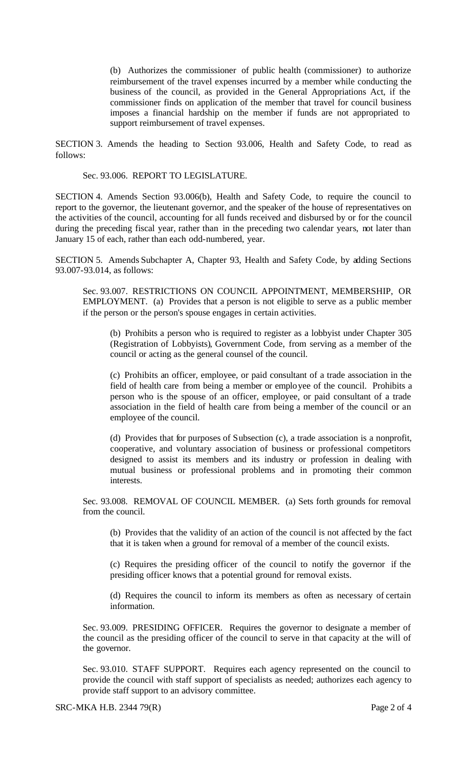(b) Authorizes the commissioner of public health (commissioner) to authorize reimbursement of the travel expenses incurred by a member while conducting the business of the council, as provided in the General Appropriations Act, if the commissioner finds on application of the member that travel for council business imposes a financial hardship on the member if funds are not appropriated to support reimbursement of travel expenses.

SECTION 3. Amends the heading to Section 93.006, Health and Safety Code, to read as follows:

Sec. 93.006. REPORT TO LEGISLATURE.

SECTION 4. Amends Section 93.006(b), Health and Safety Code, to require the council to report to the governor, the lieutenant governor, and the speaker of the house of representatives on the activities of the council, accounting for all funds received and disbursed by or for the council during the preceding fiscal year, rather than in the preceding two calendar years, not later than January 15 of each, rather than each odd-numbered, year.

SECTION 5. Amends Subchapter A, Chapter 93, Health and Safety Code, by adding Sections 93.007-93.014, as follows:

Sec. 93.007. RESTRICTIONS ON COUNCIL APPOINTMENT, MEMBERSHIP, OR EMPLOYMENT. (a) Provides that a person is not eligible to serve as a public member if the person or the person's spouse engages in certain activities.

(b) Prohibits a person who is required to register as a lobbyist under Chapter 305 (Registration of Lobbyists), Government Code, from serving as a member of the council or acting as the general counsel of the council.

(c) Prohibits an officer, employee, or paid consultant of a trade association in the field of health care from being a member or employee of the council. Prohibits a person who is the spouse of an officer, employee, or paid consultant of a trade association in the field of health care from being a member of the council or an employee of the council.

(d) Provides that for purposes of Subsection (c), a trade association is a nonprofit, cooperative, and voluntary association of business or professional competitors designed to assist its members and its industry or profession in dealing with mutual business or professional problems and in promoting their common interests.

Sec. 93.008. REMOVAL OF COUNCIL MEMBER. (a) Sets forth grounds for removal from the council.

(b) Provides that the validity of an action of the council is not affected by the fact that it is taken when a ground for removal of a member of the council exists.

(c) Requires the presiding officer of the council to notify the governor if the presiding officer knows that a potential ground for removal exists.

(d) Requires the council to inform its members as often as necessary of certain information.

Sec. 93.009. PRESIDING OFFICER. Requires the governor to designate a member of the council as the presiding officer of the council to serve in that capacity at the will of the governor.

Sec. 93.010. STAFF SUPPORT. Requires each agency represented on the council to provide the council with staff support of specialists as needed; authorizes each agency to provide staff support to an advisory committee.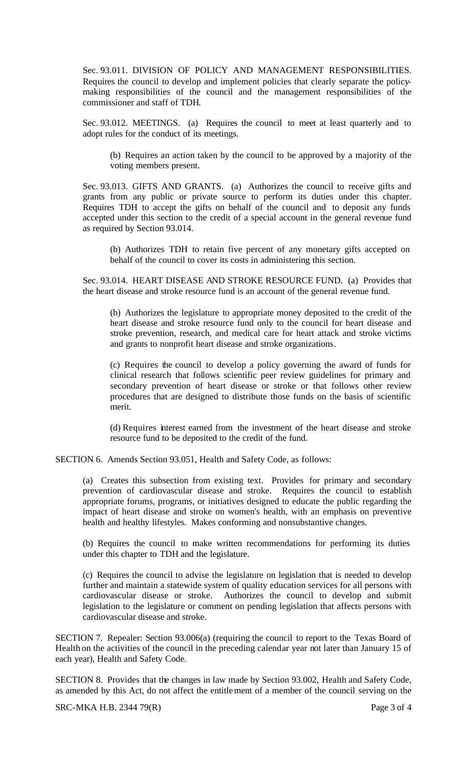Sec. 93.011. DIVISION OF POLICY AND MANAGEMENT RESPONSIBILITIES. Requires the council to develop and implement policies that clearly separate the policymaking responsibilities of the council and the management responsibilities of the commissioner and staff of TDH.

Sec. 93.012. MEETINGS. (a) Requires the council to meet at least quarterly and to adopt rules for the conduct of its meetings.

(b) Requires an action taken by the council to be approved by a majority of the voting members present.

Sec. 93.013. GIFTS AND GRANTS. (a) Authorizes the council to receive gifts and grants from any public or private source to perform its duties under this chapter. Requires TDH to accept the gifts on behalf of the council and to deposit any funds accepted under this section to the credit of a special account in the general revenue fund as required by Section 93.014.

(b) Authorizes TDH to retain five percent of any monetary gifts accepted on behalf of the council to cover its costs in administering this section.

Sec. 93.014. HEART DISEASE AND STROKE RESOURCE FUND. (a) Provides that the heart disease and stroke resource fund is an account of the general revenue fund.

(b) Authorizes the legislature to appropriate money deposited to the credit of the heart disease and stroke resource fund only to the council for heart disease and stroke prevention, research, and medical care for heart attack and stroke victims and grants to nonprofit heart disease and stroke organizations.

(c) Requires the council to develop a policy governing the award of funds for clinical research that follows scientific peer review guidelines for primary and secondary prevention of heart disease or stroke or that follows other review procedures that are designed to distribute those funds on the basis of scientific merit.

(d) Requires interest earned from the investment of the heart disease and stroke resource fund to be deposited to the credit of the fund.

SECTION 6. Amends Section 93.051, Health and Safety Code, as follows:

(a) Creates this subsection from existing text. Provides for primary and secondary prevention of cardiovascular disease and stroke. Requires the council to establish appropriate forums, programs, or initiatives designed to educate the public regarding the impact of heart disease and stroke on women's health, with an emphasis on preventive health and healthy lifestyles. Makes conforming and nonsubstantive changes.

(b) Requires the council to make written recommendations for performing its duties under this chapter to TDH and the legislature.

(c) Requires the council to advise the legislature on legislation that is needed to develop further and maintain a statewide system of quality education services for all persons with cardiovascular disease or stroke. Authorizes the council to develop and submit legislation to the legislature or comment on pending legislation that affects persons with cardiovascular disease and stroke.

SECTION 7. Repealer: Section 93.006(a) (requiring the council to report to the Texas Board of Health on the activities of the council in the preceding calendar year not later than January 15 of each year), Health and Safety Code.

SECTION 8. Provides that the changes in law made by Section 93.002, Health and Safety Code, as amended by this Act, do not affect the entitlement of a member of the council serving on the

SRC-MKA H.B. 2344 79(R) Page 3 of 4